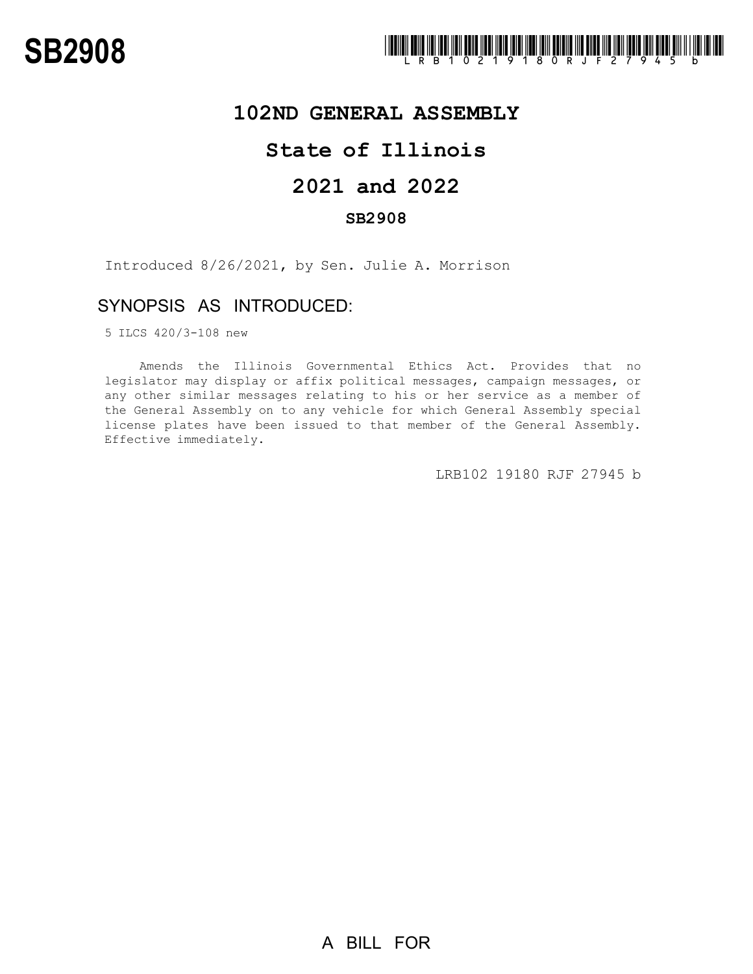

## **102ND GENERAL ASSEMBLY**

# **State of Illinois**

# **2021 and 2022**

### **SB2908**

Introduced 8/26/2021, by Sen. Julie A. Morrison

### SYNOPSIS AS INTRODUCED:

5 ILCS 420/3-108 new

Amends the Illinois Governmental Ethics Act. Provides that no legislator may display or affix political messages, campaign messages, or any other similar messages relating to his or her service as a member of the General Assembly on to any vehicle for which General Assembly special license plates have been issued to that member of the General Assembly. Effective immediately.

LRB102 19180 RJF 27945 b